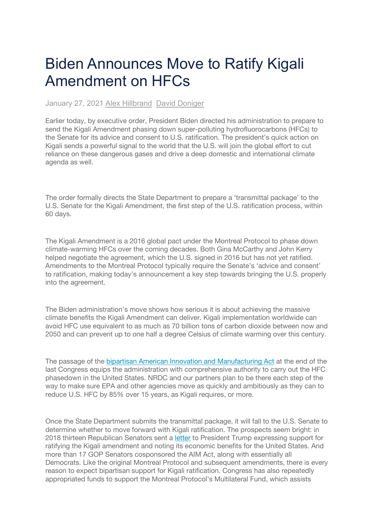## Biden Announces Move to Ratify Kigali Amendment on HFCs

January 27, 2021 Alex Hillbrand David Doniger

Earlier today, by executive order, President Biden directed his administration to prepare to send the Kigali Amendment phasing down super-polluting hydrofluorocarbons (HFCs) to the Senate for its advice and consent to U.S. ratification. The president's quick action on Kigali sends a powerful signal to the world that the U.S. will join the global effort to cut reliance on these dangerous gases and drive a deep domestic and international climate agenda as well.

The order formally directs the State Department to prepare a 'transmittal package' to the U.S. Senate for the Kigali Amendment, the first step of the U.S. ratification process, within 60 days.

The Kigali Amendment is a 2016 global pact under the Montreal Protocol to phase down climate-warming HFCs over the coming decades. Both Gina McCarthy and John Kerry helped negotiate the agreement, which the U.S. signed in 2016 but has not yet ratified. Amendments to the Montreal Protocol typically require the Senate's 'advice and consent' to ratification, making today's announcement a key step towards bringing the U.S. properly into the agreement.

The Biden administration's move shows how serious it is about achieving the massive climate benefits the Kigali Amendment can deliver. Kigali implementation worldwide can avoid HFC use equivalent to as much as 70 billion tons of carbon dioxide between now and 2050 and can prevent up to one half a degree Celsius of climate warming over this century.

The passage of the bipartisan American Innovation and Manufacturing Act at the end of the last Congress equips the administration with comprehensive authority to carry out the HFC phasedown in the United States. NRDC and our partners plan to be there each step of the way to make sure EPA and other agencies move as quickly and ambitiously as they can to reduce U.S. HFC by 85% over 15 years, as Kigali requires, or more.

Once the State Department submits the transmittal package, it will fall to the U.S. Senate to determine whether to move forward with Kigali ratification. The prospects seem bright: in 2018 thirteen Republican Senators sent a letter to President Trump expressing support for ratifying the Kigali amendment and noting its economic benefits for the United States. And more than 17 GOP Senators cosponsored the AIM Act, along with essentially all Democrats. Like the original Montreal Protocol and subsequent amendments, there is every reason to expect bipartisan support for Kigali ratification. Congress has also repeatedly appropriated funds to support the Montreal Protocol's Multilateral Fund, which assists